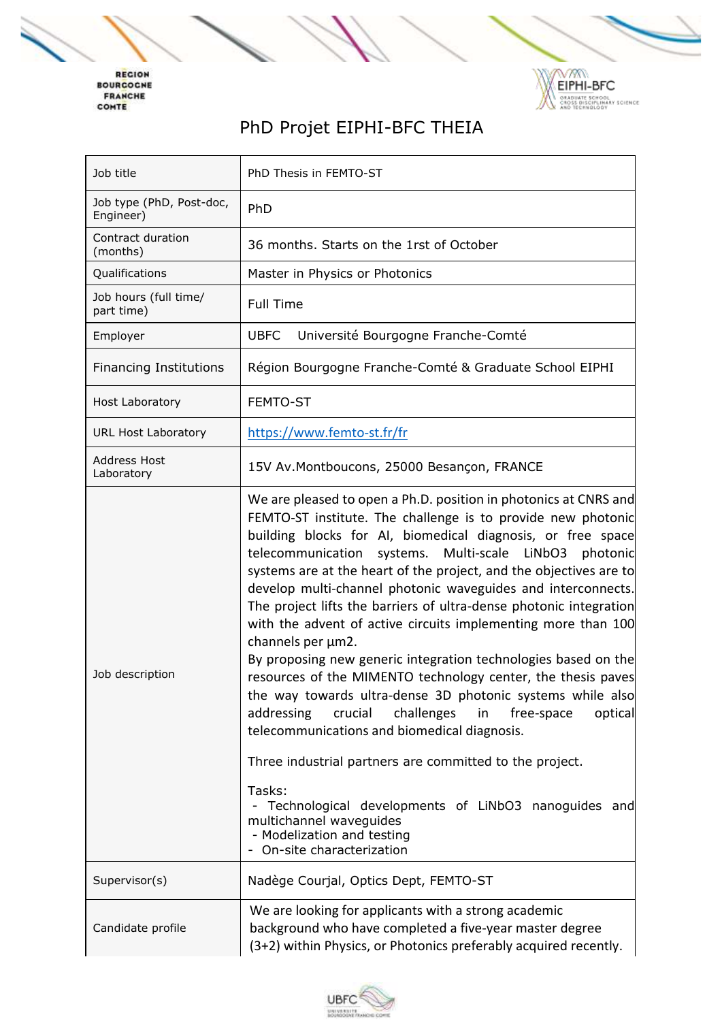REGION<br>BOURGOGNE<br>FRANCHE<br>COMTE



## PhD Projet EIPHI-BFC THEIA

| Job title                             | PhD Thesis in FEMTO-ST                                                                                                                                                                                                                                                                                                                                                                                                                                                                                                                                                                                                                                                                                                                                                                                                                                                                                                                                                                                                                                                                                         |
|---------------------------------------|----------------------------------------------------------------------------------------------------------------------------------------------------------------------------------------------------------------------------------------------------------------------------------------------------------------------------------------------------------------------------------------------------------------------------------------------------------------------------------------------------------------------------------------------------------------------------------------------------------------------------------------------------------------------------------------------------------------------------------------------------------------------------------------------------------------------------------------------------------------------------------------------------------------------------------------------------------------------------------------------------------------------------------------------------------------------------------------------------------------|
| Job type (PhD, Post-doc,<br>Engineer) | PhD                                                                                                                                                                                                                                                                                                                                                                                                                                                                                                                                                                                                                                                                                                                                                                                                                                                                                                                                                                                                                                                                                                            |
| Contract duration<br>(months)         | 36 months. Starts on the 1rst of October                                                                                                                                                                                                                                                                                                                                                                                                                                                                                                                                                                                                                                                                                                                                                                                                                                                                                                                                                                                                                                                                       |
| Qualifications                        | Master in Physics or Photonics                                                                                                                                                                                                                                                                                                                                                                                                                                                                                                                                                                                                                                                                                                                                                                                                                                                                                                                                                                                                                                                                                 |
| Job hours (full time/<br>part time)   | <b>Full Time</b>                                                                                                                                                                                                                                                                                                                                                                                                                                                                                                                                                                                                                                                                                                                                                                                                                                                                                                                                                                                                                                                                                               |
| Employer                              | <b>UBFC</b><br>Université Bourgogne Franche-Comté                                                                                                                                                                                                                                                                                                                                                                                                                                                                                                                                                                                                                                                                                                                                                                                                                                                                                                                                                                                                                                                              |
| <b>Financing Institutions</b>         | Région Bourgogne Franche-Comté & Graduate School EIPHI                                                                                                                                                                                                                                                                                                                                                                                                                                                                                                                                                                                                                                                                                                                                                                                                                                                                                                                                                                                                                                                         |
| <b>Host Laboratory</b>                | FEMTO-ST                                                                                                                                                                                                                                                                                                                                                                                                                                                                                                                                                                                                                                                                                                                                                                                                                                                                                                                                                                                                                                                                                                       |
| <b>URL Host Laboratory</b>            | https://www.femto-st.fr/fr                                                                                                                                                                                                                                                                                                                                                                                                                                                                                                                                                                                                                                                                                                                                                                                                                                                                                                                                                                                                                                                                                     |
| <b>Address Host</b><br>Laboratory     | 15V Av.Montboucons, 25000 Besançon, FRANCE                                                                                                                                                                                                                                                                                                                                                                                                                                                                                                                                                                                                                                                                                                                                                                                                                                                                                                                                                                                                                                                                     |
| Job description                       | We are pleased to open a Ph.D. position in photonics at CNRS and<br>FEMTO-ST institute. The challenge is to provide new photonic<br>building blocks for AI, biomedical diagnosis, or free space<br>telecommunication<br>Multi-scale<br>LiNbO3<br>photonic<br>systems.<br>systems are at the heart of the project, and the objectives are to<br>develop multi-channel photonic waveguides and interconnects.<br>The project lifts the barriers of ultra-dense photonic integration<br>with the advent of active circuits implementing more than 100<br>channels per µm2.<br>By proposing new generic integration technologies based on the<br>resources of the MIMENTO technology center, the thesis paves<br>the way towards ultra-dense 3D photonic systems while also<br>optical<br>addressing<br>challenges<br>crucial<br>free-space<br>in<br>telecommunications and biomedical diagnosis.<br>Three industrial partners are committed to the project.<br>Tasks:<br>Technological developments of LiNbO3 nanoguides and<br>multichannel waveguides<br>- Modelization and testing<br>On-site characterization |
| Supervisor(s)                         | Nadège Courjal, Optics Dept, FEMTO-ST                                                                                                                                                                                                                                                                                                                                                                                                                                                                                                                                                                                                                                                                                                                                                                                                                                                                                                                                                                                                                                                                          |
| Candidate profile                     | We are looking for applicants with a strong academic<br>background who have completed a five-year master degree<br>(3+2) within Physics, or Photonics preferably acquired recently.                                                                                                                                                                                                                                                                                                                                                                                                                                                                                                                                                                                                                                                                                                                                                                                                                                                                                                                            |